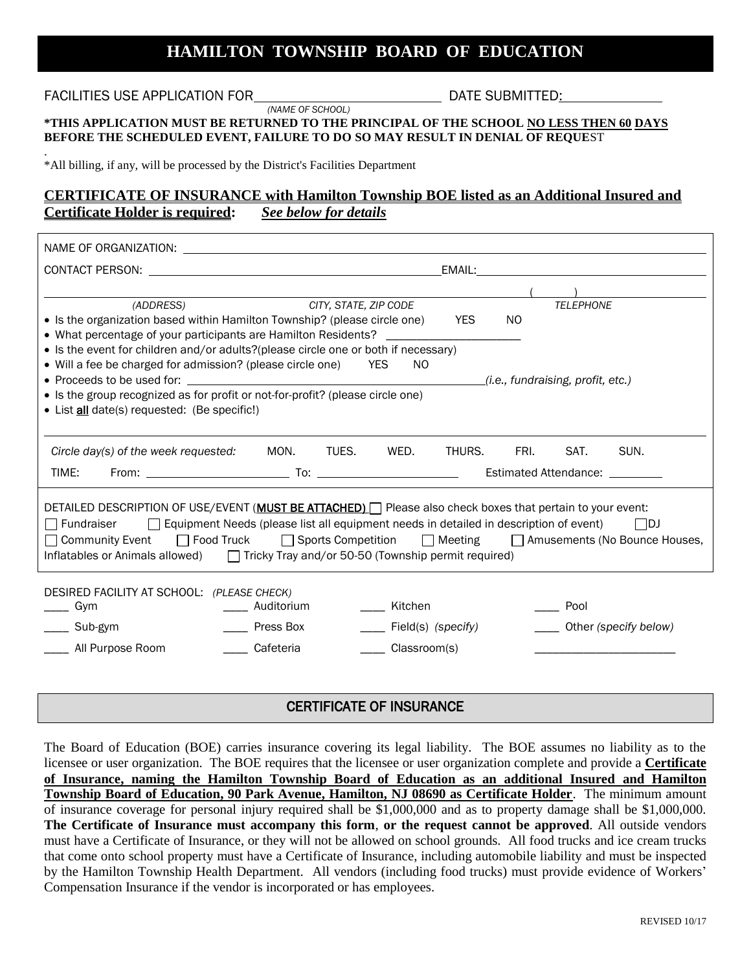# **HAMILTON TOWNSHIP BOARD OF EDUCATION**

#### CERTIFICATE OF INSURANCE

The Board of Education (BOE) carries insurance covering its legal liability. The BOE assumes no liability as to the licensee or user organization. The BOE requires that the licensee or user organization complete and provide a **Certificate of Insurance, naming the Hamilton Township Board of Education as an additional Insured and Hamilton Township Board of Education, 90 Park Avenue, Hamilton, NJ 08690 as Certificate Holder**. The minimum amount of insurance coverage for personal injury required shall be \$1,000,000 and as to property damage shall be \$1,000,000. **The Certificate of Insurance must accompany this form**, **or the request cannot be approved**. All outside vendors must have a Certificate of Insurance, or they will not be allowed on school grounds. All food trucks and ice cream trucks that come onto school property must have a Certificate of Insurance, including automobile liability and must be inspected by the Hamilton Township Health Department. All vendors (including food trucks) must provide evidence of Workers' Compensation Insurance if the vendor is incorporated or has employees.

## FACILITIES USE APPLICATION FOR DATE SUBMITTED:

NAME OF ORGANIZATION:

.

*(NAME OF SCHOOL)* 

#### **\*THIS APPLICATION MUST BE RETURNED TO THE PRINCIPAL OF THE SCHOOL NO LESS THEN 60 DAYS BEFORE THE SCHEDULED EVENT, FAILURE TO DO SO MAY RESULT IN DENIAL OF REQUE**ST

\*All billing, if any, will be processed by the District's Facilities Department

# **CERTIFICATE OF INSURANCE with Hamilton Township BOE listed as an Additional Insured and Certificate Holder is required:** *See below for details*

CONTACT PERSON: EMAIL:  $($ *(ADDRESS) CITY, STATE, ZIP CODE TELEPHONE* • Is the organization based within Hamilton Township? (please circle one) YES NO • What percentage of your participants are Hamilton Residents? • Is the event for children and/or adults?(please circle one or both if necessary) • Will a fee be charged for admission? (please circle one) YES NO Proceeds to be used for: *(i.e., fundraising, profit, etc.)* • Is the group recognized as for profit or not-for-profit? (please circle one) • List **all** date(s) requested: (Be specific!) *Circle day(s) of the week requested:* MON. TUES. WED. THURS. FRI. SAT. SUN. TIME: From: To: Estimated Attendance: DETAILED DESCRIPTION OF USE/EVENT (MUST BE ATTACHED) Please also check boxes that pertain to your event:  $\Box$  Fundraiser  $\Box$  Equipment Needs (please list all equipment needs in detailed in description of event)  $\Box$ DJ □ Community Event □ Food Truck □ Sports Competition □ Meeting □ Amusements (No Bounce Houses, Inflatables or Animals allowed)  $\Box$  Tricky Tray and/or 50-50 (Township permit required) DESIRED FACILITY AT SCHOOL: *(PLEASE CHECK)*  $\frac{1}{2}$  Gym \_\_\_\_ Sub-gym \_\_\_\_ All Purpose Room \_\_\_\_ Auditorium \_\_\_\_ Press Box \_\_\_\_ Cafeteria \_\_\_\_ Kitchen \_\_\_\_ Field(s) *(specify)* \_\_\_\_ Classroom(s) \_\_\_\_ Pool \_\_\_\_ Other *(specify below)* \_\_\_\_\_\_\_\_\_\_\_\_\_\_\_\_\_\_\_\_\_\_\_